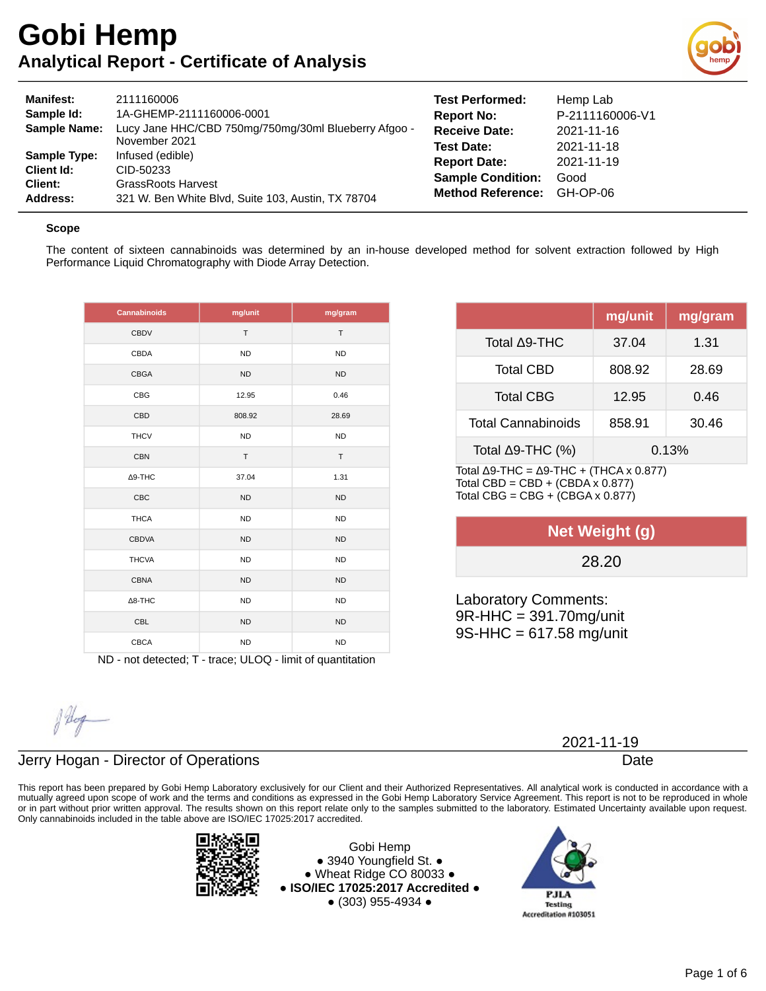

| <b>Manifest:</b><br>Sample Id:<br><b>Sample Name:</b>           | 2111160006<br>1A-GHEMP-2111160006-0001<br>Lucy Jane HHC/CBD 750mg/750mg/30ml Blueberry Afgoo -<br>November 2021  | <b>Test Performed:</b><br><b>Report No:</b><br><b>Receive Date:</b><br><b>Test Date:</b> | Hemp Lab<br>P-2111160006-V1<br>2021-11-16<br>2021-11-18 |
|-----------------------------------------------------------------|------------------------------------------------------------------------------------------------------------------|------------------------------------------------------------------------------------------|---------------------------------------------------------|
| <b>Sample Type:</b><br>Client Id:<br>Client:<br><b>Address:</b> | Infused (edible)<br>CID-50233<br><b>GrassRoots Harvest</b><br>321 W. Ben White Blvd, Suite 103, Austin, TX 78704 | <b>Report Date:</b><br><b>Sample Condition:</b><br><b>Method Reference:</b>              | 2021-11-19<br>Good<br>GH-OP-06                          |

#### **Scope**

The content of sixteen cannabinoids was determined by an in-house developed method for solvent extraction followed by High Performance Liquid Chromatography with Diode Array Detection.

| Cannabinoids   | mg/unit   | mg/gram   |
|----------------|-----------|-----------|
| CBDV           | T         | T         |
| <b>CBDA</b>    | <b>ND</b> | <b>ND</b> |
| CBGA           | <b>ND</b> | <b>ND</b> |
| CBG            | 12.95     | 0.46      |
| <b>CBD</b>     | 808.92    | 28.69     |
| <b>THCV</b>    | <b>ND</b> | <b>ND</b> |
| <b>CBN</b>     | $\top$    | T         |
| $\Delta$ 9-THC | 37.04     | 1.31      |
| CBC            | <b>ND</b> | <b>ND</b> |
| <b>THCA</b>    | <b>ND</b> | <b>ND</b> |
| <b>CBDVA</b>   | <b>ND</b> | <b>ND</b> |
| <b>THCVA</b>   | <b>ND</b> | <b>ND</b> |
| <b>CBNA</b>    | <b>ND</b> | <b>ND</b> |
| $\Delta$ 8-THC | <b>ND</b> | <b>ND</b> |
| <b>CBL</b>     | <b>ND</b> | <b>ND</b> |
| <b>CBCA</b>    | <b>ND</b> | <b>ND</b> |

ND - not detected; T - trace; ULOQ - limit of quantitation

|                                                                           | mg/unit | mg/gram |
|---------------------------------------------------------------------------|---------|---------|
| Total ∆9-THC                                                              | 37.04   | 1.31    |
| <b>Total CBD</b>                                                          | 808.92  | 28.69   |
| <b>Total CBG</b>                                                          | 12.95   | 0.46    |
| <b>Total Cannabinoids</b>                                                 | 858.91  | 30.46   |
| Total $\Delta$ 9-THC (%)                                                  |         | 0.13%   |
| Total $\Lambda$ Q.THC - $\Lambda$ Q.THC + (THC $\Lambda$ y $\Lambda$ 877) |         |         |

TOTAL Δ9-THC = Δ9-THC + (THCA X 0.877) Total CBD =  $CBD + (CBDA \times 0.877)$ Total CBG =  $CBG + (CBGA \times 0.877)$ 

| Net Weight (g) |  |
|----------------|--|
| 28.20          |  |

Laboratory Comments: 9R-HHC = 391.70mg/unit 9S-HHC = 617.58 mg/unit

flog

## Jerry Hogan - Director of Operations

This report has been prepared by Gobi Hemp Laboratory exclusively for our Client and their Authorized Representatives. All analytical work is conducted in accordance with a mutually agreed upon scope of work and the terms and conditions as expressed in the Gobi Hemp Laboratory Service Agreement. This report is not to be reproduced in whole or in part without prior written approval. The results shown on this report relate only to the samples submitted to the laboratory. Estimated Uncertainty available upon request. Only cannabinoids included in the table above are ISO/IEC 17025:2017 accredited.



Gobi Hemp ● 3940 Youngfield St. ● ● Wheat Ridge CO 80033 ● **● ISO/IEC 17025:2017 Accredited ●** ● (303) 955-4934 ●



2021-11-19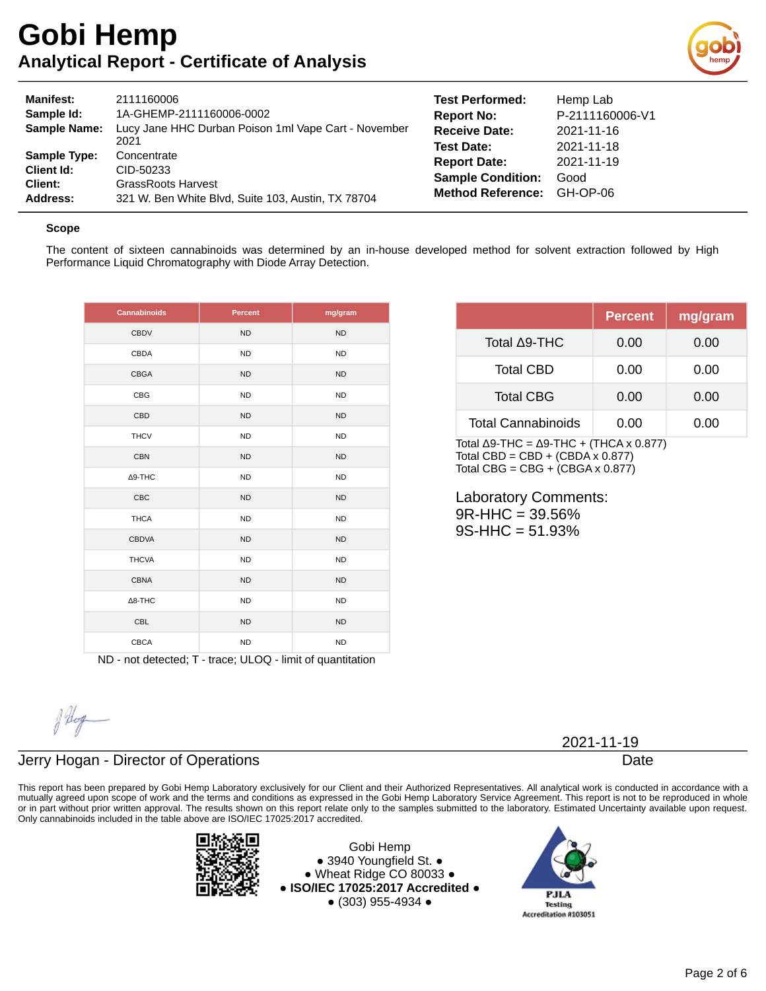

| <b>Manifest:</b><br>Sample Id:<br><b>Sample Name:</b>           | 2111160006<br>1A-GHEMP-2111160006-0002<br>Lucy Jane HHC Durban Poison 1ml Vape Cart - November<br>2021      | <b>Test Performed:</b><br><b>Report No:</b><br><b>Receive Date:</b><br><b>Test Date:</b> | Hemp Lab<br>P-2111160006-V1<br>2021-11-16<br>2021-11-18 |
|-----------------------------------------------------------------|-------------------------------------------------------------------------------------------------------------|------------------------------------------------------------------------------------------|---------------------------------------------------------|
| <b>Sample Type:</b><br>Client Id:<br>Client:<br><b>Address:</b> | Concentrate<br>CID-50233<br><b>GrassRoots Harvest</b><br>321 W. Ben White Blvd, Suite 103, Austin, TX 78704 | <b>Report Date:</b><br><b>Sample Condition:</b><br><b>Method Reference:</b>              | 2021-11-19<br>Good<br>GH-OP-06                          |

#### **Scope**

The content of sixteen cannabinoids was determined by an in-house developed method for solvent extraction followed by High Performance Liquid Chromatography with Diode Array Detection.

| Cannabinoids   | <b>Percent</b> | mg/gram   |
|----------------|----------------|-----------|
| <b>CBDV</b>    | <b>ND</b>      | <b>ND</b> |
| CBDA           | <b>ND</b>      | <b>ND</b> |
| CBGA           | <b>ND</b>      | <b>ND</b> |
| <b>CBG</b>     | <b>ND</b>      | <b>ND</b> |
| CBD            | <b>ND</b>      | <b>ND</b> |
| <b>THCV</b>    | <b>ND</b>      | <b>ND</b> |
| <b>CBN</b>     | <b>ND</b>      | <b>ND</b> |
| $\Delta$ 9-THC | <b>ND</b>      | <b>ND</b> |
| CBC            | <b>ND</b>      | <b>ND</b> |
| <b>THCA</b>    | <b>ND</b>      | ND        |
| <b>CBDVA</b>   | <b>ND</b>      | <b>ND</b> |
| <b>THCVA</b>   | <b>ND</b>      | <b>ND</b> |
| <b>CBNA</b>    | <b>ND</b>      | <b>ND</b> |
| $\Delta$ 8-THC | <b>ND</b>      | <b>ND</b> |
| <b>CBL</b>     | <b>ND</b>      | <b>ND</b> |
| <b>CBCA</b>    | <b>ND</b>      | <b>ND</b> |

|                           | <b>Percent</b> | mg/gram |
|---------------------------|----------------|---------|
| Total ∆9-THC              | 0.00           | 0.00    |
| <b>Total CBD</b>          | 0.00           | 0.00    |
| <b>Total CBG</b>          | 0.00           | 0.00    |
| <b>Total Cannabinoids</b> | 0.00           | 0.00    |

Total Δ9-THC =  $Δ9-THC + (THCA × 0.877)$ Total CBD =  $CBD + (CBDA \times 0.877)$ Total CBG =  $CBG + (CBGA \times 0.877)$ 

Laboratory Comments: 9R-HHC = 39.56% 9S-HHC = 51.93%

ND - not detected; T - trace; ULOQ - limit of quantitation

Alog

## Jerry Hogan - Director of Operations

This report has been prepared by Gobi Hemp Laboratory exclusively for our Client and their Authorized Representatives. All analytical work is conducted in accordance with a mutually agreed upon scope of work and the terms and conditions as expressed in the Gobi Hemp Laboratory Service Agreement. This report is not to be reproduced in whole or in part without prior written approval. The results shown on this report relate only to the samples submitted to the laboratory. Estimated Uncertainty available upon request. Only cannabinoids included in the table above are ISO/IEC 17025:2017 accredited.



Gobi Hemp ● 3940 Youngfield St. ● ● Wheat Ridge CO 80033 ● **● ISO/IEC 17025:2017 Accredited ●** ● (303) 955-4934 ●



2021-11-19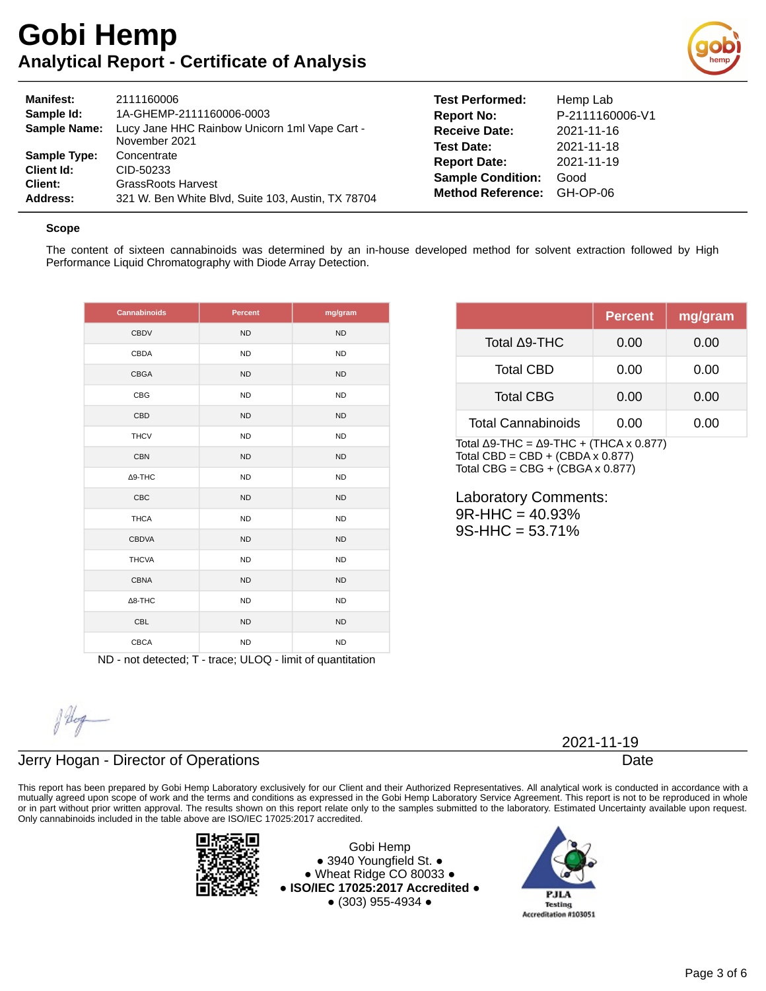

| <b>Manifest:</b><br>Sample Id:<br><b>Sample Name:</b> | 2111160006<br>1A-GHEMP-2111160006-0003<br>Lucy Jane HHC Rainbow Unicorn 1ml Vape Cart -<br>November 2021 |
|-------------------------------------------------------|----------------------------------------------------------------------------------------------------------|
| <b>Sample Type:</b>                                   | Concentrate                                                                                              |
| Client Id:                                            | CID-50233                                                                                                |
| Client:                                               | <b>GrassRoots Harvest</b>                                                                                |
| Address:                                              | 321 W. Ben White Blvd, Suite 103, Austin, TX 78704                                                       |

**Test Performed:** Hemp Lab **Report No:** P-2111160006-V1 **Receive Date:** 2021-11-16 **Test Date:** 2021-11-18 **Report Date:** 2021-11-19 **Sample Condition:** Good **Method Reference:** GH-OP-06

#### **Scope**

The content of sixteen cannabinoids was determined by an in-house developed method for solvent extraction followed by High Performance Liquid Chromatography with Diode Array Detection.

| <b>Cannabinoids</b> | <b>Percent</b> | mg/gram   |
|---------------------|----------------|-----------|
| <b>CBDV</b>         | <b>ND</b>      | <b>ND</b> |
| CBDA                | <b>ND</b>      | <b>ND</b> |
| <b>CBGA</b>         | <b>ND</b>      | <b>ND</b> |
| CBG                 | <b>ND</b>      | <b>ND</b> |
| CBD                 | <b>ND</b>      | <b>ND</b> |
| <b>THCV</b>         | <b>ND</b>      | <b>ND</b> |
| <b>CBN</b>          | <b>ND</b>      | <b>ND</b> |
| $\Delta$ 9-THC      | <b>ND</b>      | <b>ND</b> |
| CBC                 | <b>ND</b>      | <b>ND</b> |
| <b>THCA</b>         | <b>ND</b>      | ND        |
| <b>CBDVA</b>        | <b>ND</b>      | <b>ND</b> |
| <b>THCVA</b>        | <b>ND</b>      | <b>ND</b> |
| <b>CBNA</b>         | <b>ND</b>      | <b>ND</b> |
| $\Delta$ 8-THC      | <b>ND</b>      | <b>ND</b> |
| <b>CBL</b>          | <b>ND</b>      | <b>ND</b> |
| <b>CBCA</b>         | <b>ND</b>      | <b>ND</b> |

|                           | <b>Percent</b> | mg/gram |
|---------------------------|----------------|---------|
| Total ∆9-THC              | 0.00           | 0.00    |
| <b>Total CBD</b>          | 0.00           | 0.00    |
| <b>Total CBG</b>          | 0.00           | 0.00    |
| <b>Total Cannabinoids</b> | 0.00           | 0.00    |
|                           |                |         |

Total Δ9-THC =  $Δ9-THC + (THCA × 0.877)$ Total CBD =  $CBD + (CBDA \times 0.877)$ Total CBG =  $CBG + (CBGA \times 0.877)$ 

Laboratory Comments: 9R-HHC = 40.93% 9S-HHC = 53.71%

ND - not detected; T - trace; ULOQ - limit of quantitation

Alop

### Jerry Hogan - Director of Operations

This report has been prepared by Gobi Hemp Laboratory exclusively for our Client and their Authorized Representatives. All analytical work is conducted in accordance with a mutually agreed upon scope of work and the terms and conditions as expressed in the Gobi Hemp Laboratory Service Agreement. This report is not to be reproduced in whole or in part without prior written approval. The results shown on this report relate only to the samples submitted to the laboratory. Estimated Uncertainty available upon request. Only cannabinoids included in the table above are ISO/IEC 17025:2017 accredited.



Gobi Hemp ● 3940 Youngfield St. ● ● Wheat Ridge CO 80033 ● **● ISO/IEC 17025:2017 Accredited ●** ● (303) 955-4934 ●



2021-11-19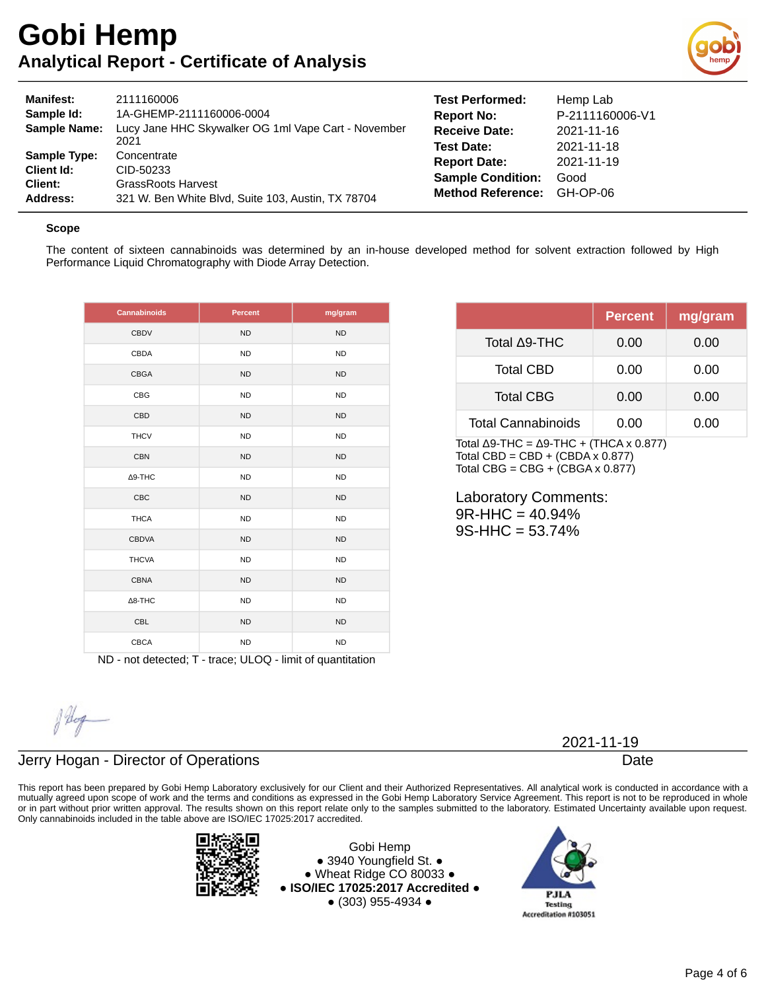

| <b>Manifest:</b><br>Sample Id:<br><b>Sample Name:</b>           | 2111160006<br>1A-GHEMP-2111160006-0004<br>Lucy Jane HHC Skywalker OG 1ml Vape Cart - November<br>2021       | <b>Test Performed:</b><br><b>Report No:</b><br><b>Receive Date:</b><br><b>Test Date:</b> | Hemp Lab<br>P-2111160006-V1<br>2021-11-16<br>2021-11-18 |
|-----------------------------------------------------------------|-------------------------------------------------------------------------------------------------------------|------------------------------------------------------------------------------------------|---------------------------------------------------------|
| <b>Sample Type:</b><br><b>Client Id:</b><br>Client:<br>Address: | Concentrate<br>CID-50233<br><b>GrassRoots Harvest</b><br>321 W. Ben White Blvd, Suite 103, Austin, TX 78704 | <b>Report Date:</b><br><b>Sample Condition:</b><br><b>Method Reference:</b>              | 2021-11-19<br>Good<br>GH-OP-06                          |

#### **Scope**

The content of sixteen cannabinoids was determined by an in-house developed method for solvent extraction followed by High Performance Liquid Chromatography with Diode Array Detection.

| <b>Cannabinoids</b> | <b>Percent</b> | mg/gram   |
|---------------------|----------------|-----------|
| <b>CBDV</b>         | <b>ND</b>      | <b>ND</b> |
| CBDA                | <b>ND</b>      | <b>ND</b> |
| CBGA                | <b>ND</b>      | <b>ND</b> |
| CBG                 | <b>ND</b>      | <b>ND</b> |
| CBD                 | <b>ND</b>      | <b>ND</b> |
| <b>THCV</b>         | <b>ND</b>      | <b>ND</b> |
| <b>CBN</b>          | <b>ND</b>      | <b>ND</b> |
| $\Delta$ 9-THC      | <b>ND</b>      | <b>ND</b> |
| <b>CBC</b>          | <b>ND</b>      | <b>ND</b> |
| <b>THCA</b>         | <b>ND</b>      | <b>ND</b> |
| <b>CBDVA</b>        | <b>ND</b>      | <b>ND</b> |
| <b>THCVA</b>        | <b>ND</b>      | <b>ND</b> |
| <b>CBNA</b>         | <b>ND</b>      | <b>ND</b> |
| $\Delta$ 8-THC      | <b>ND</b>      | <b>ND</b> |
| <b>CBL</b>          | <b>ND</b>      | <b>ND</b> |
| <b>CBCA</b>         | <b>ND</b>      | <b>ND</b> |

|                           | <b>Percent</b> | mg/gram |
|---------------------------|----------------|---------|
| Total ∆9-THC              | 0.00           | 0.00    |
| <b>Total CBD</b>          | 0.00           | 0.00    |
| <b>Total CBG</b>          | 0.00           | 0.00    |
| <b>Total Cannabinoids</b> | 0.00           | 0.00    |

Total Δ9-THC =  $Δ9-THC + (THCA × 0.877)$ Total CBD =  $CBD + (CBDA \times 0.877)$ Total CBG =  $CBG + (CBGA \times 0.877)$ 

Laboratory Comments: 9R-HHC = 40.94% 9S-HHC = 53.74%

ND - not detected; T - trace; ULOQ - limit of quantitation

Alog

## Jerry Hogan - Director of Operations

This report has been prepared by Gobi Hemp Laboratory exclusively for our Client and their Authorized Representatives. All analytical work is conducted in accordance with a mutually agreed upon scope of work and the terms and conditions as expressed in the Gobi Hemp Laboratory Service Agreement. This report is not to be reproduced in whole or in part without prior written approval. The results shown on this report relate only to the samples submitted to the laboratory. Estimated Uncertainty available upon request. Only cannabinoids included in the table above are ISO/IEC 17025:2017 accredited.



Gobi Hemp ● 3940 Youngfield St. ● ● Wheat Ridge CO 80033 ● **● ISO/IEC 17025:2017 Accredited ●** ● (303) 955-4934 ●



2021-11-19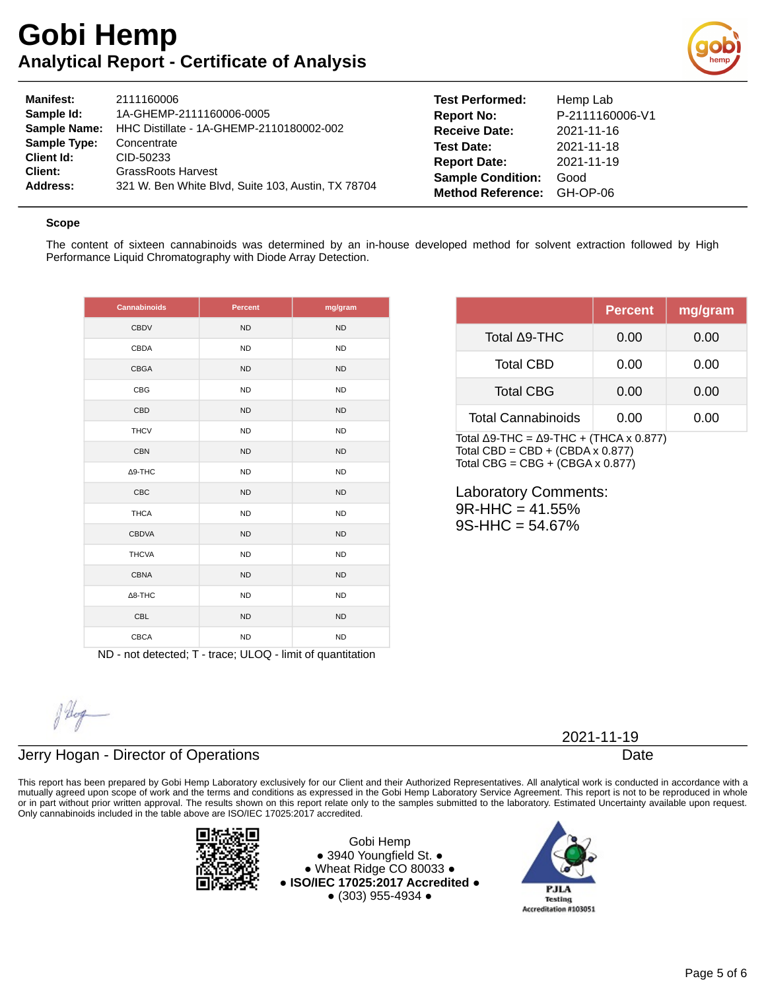

| <b>Manifest:</b>    | 2111160006                                         | Test Performe        |
|---------------------|----------------------------------------------------|----------------------|
| Sample Id:          | 1A-GHEMP-2111160006-0005                           | <b>Report No:</b>    |
| <b>Sample Name:</b> | HHC Distillate - 1A-GHEMP-2110180002-002           | <b>Receive Date:</b> |
| <b>Sample Type:</b> | Concentrate                                        | <b>Test Date:</b>    |
| Client Id:          | CID-50233                                          | <b>Report Date:</b>  |
| Client:             | <b>GrassRoots Harvest</b>                          | <b>Sample Condit</b> |
| Address:            | 321 W. Ben White Blvd, Suite 103, Austin, TX 78704 | <b>Method Refere</b> |
|                     |                                                    |                      |

**d:** Hemp Lab **Report No:** P-2111160006-V1 **Receive Date:** 2021-11-16 **Test Date:** 2021-11-18 **Report Date:** 2021-11-19 **tion:** Good **Method Reference:** GH-OP-06

#### **Scope**

The content of sixteen cannabinoids was determined by an in-house developed method for solvent extraction followed by High Performance Liquid Chromatography with Diode Array Detection.

| <b>Cannabinoids</b> | Percent   | mg/gram        |
|---------------------|-----------|----------------|
| <b>CBDV</b>         | <b>ND</b> | <b>ND</b>      |
| CBDA                | <b>ND</b> | <b>ND</b>      |
| <b>CBGA</b>         | <b>ND</b> | <b>ND</b>      |
| <b>CBG</b>          | <b>ND</b> | <b>ND</b>      |
| CBD                 | <b>ND</b> | N <sub>D</sub> |
| <b>THCV</b>         | <b>ND</b> | <b>ND</b>      |
| <b>CBN</b>          | <b>ND</b> | <b>ND</b>      |
| ∆9-THC              | <b>ND</b> | <b>ND</b>      |
| CBC                 | <b>ND</b> | N <sub>D</sub> |
| <b>THCA</b>         | <b>ND</b> | <b>ND</b>      |
| <b>CBDVA</b>        | <b>ND</b> | <b>ND</b>      |
| <b>THCVA</b>        | <b>ND</b> | <b>ND</b>      |
| <b>CBNA</b>         | <b>ND</b> | <b>ND</b>      |
| $\Delta$ 8-THC      | <b>ND</b> | <b>ND</b>      |
| <b>CBL</b>          | <b>ND</b> | <b>ND</b>      |
| <b>CBCA</b>         | <b>ND</b> | <b>ND</b>      |

|                    | <b>Percent</b> | mg/gram |
|--------------------|----------------|---------|
| Total A9-THC       | 0.00           | 0.00    |
| <b>Total CBD</b>   | 0.00           | 0.00    |
| <b>Total CBG</b>   | 0.00           | 0.00    |
| Total Cannabinoids | 0.00           | 0.00    |

Total Δ9-THC =  $Δ9-THC + (THCA × 0.877)$ Total CBD = CBD +  $(CBDA \times 0.877)$ Total CBG =  $CBG + (CBGA \times 0.877)$ 

Laboratory Comments: 9R-HHC = 41.55% 9S-HHC = 54.67%

ND - not detected; T - trace; ULOQ - limit of quantitation

### Jerry Hogan - Director of Operations

This report has been prepared by Gobi Hemp Laboratory exclusively for our Client and their Authorized Representatives. All analytical work is conducted in accordance with a mutually agreed upon scope of work and the terms and conditions as expressed in the Gobi Hemp Laboratory Service Agreement. This report is not to be reproduced in whole or in part without prior written approval. The results shown on this report relate only to the samples submitted to the laboratory. Estimated Uncertainty available upon request. Only cannabinoids included in the table above are ISO/IEC 17025:2017 accredited.



Gobi Hemp ● 3940 Youngfield St. ● ● Wheat Ridge CO 80033 ● **● ISO/IEC 17025:2017 Accredited ●** ● (303) 955-4934 ●



2021-11-19